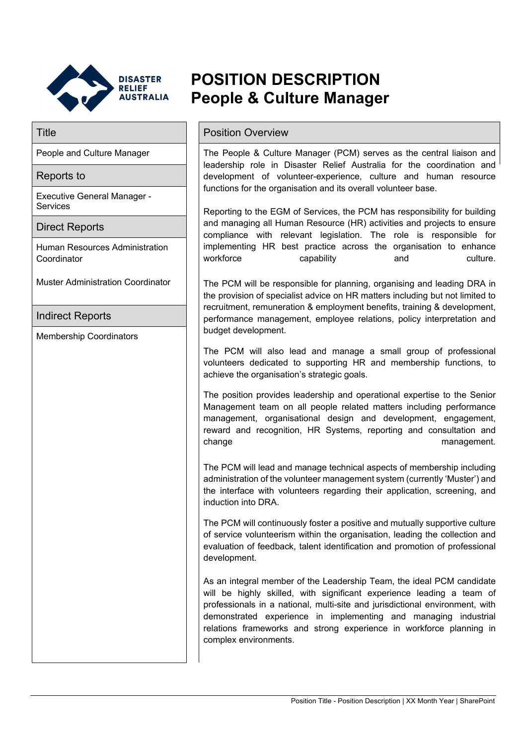

Executive General Manager -

Human Resources Administration

Muster Administration Coordinator

# **POSITION DESCRIPTION People & Culture Manager**

# Title **Title Position Overview**

People and Culture Manager  $\vert$  The People & Culture Manager (PCM) serves as the central liaison and leadership role in Disaster Relief Australia for the coordination and development of volunteer-experience, culture and human resource functions for the organisation and its overall volunteer base.

> Reporting to the EGM of Services, the PCM has responsibility for building and managing all Human Resource (HR) activities and projects to ensure compliance with relevant legislation. The role is responsible for implementing HR best practice across the organisation to enhance workforce capability and culture.

> The PCM will be responsible for planning, organising and leading DRA in the provision of specialist advice on HR matters including but not limited to recruitment, remuneration & employment benefits, training & development, performance management, employee relations, policy interpretation and budget development.

> The PCM will also lead and manage a small group of professional volunteers dedicated to supporting HR and membership functions, to achieve the organisation's strategic goals.

> The position provides leadership and operational expertise to the Senior Management team on all people related matters including performance management, organisational design and development, engagement, reward and recognition, HR Systems, reporting and consultation and change management.

> The PCM will lead and manage technical aspects of membership including administration of the volunteer management system (currently 'Muster') and the interface with volunteers regarding their application, screening, and induction into DRA.

> The PCM will continuously foster a positive and mutually supportive culture of service volunteerism within the organisation, leading the collection and evaluation of feedback, talent identification and promotion of professional development.

> As an integral member of the Leadership Team, the ideal PCM candidate will be highly skilled, with significant experience leading a team of professionals in a national, multi-site and jurisdictional environment, with demonstrated experience in implementing and managing industrial relations frameworks and strong experience in workforce planning in complex environments.

Direct Reports

Reports to

**Services** 

Coordinator

Indirect Reports

Membership Coordinators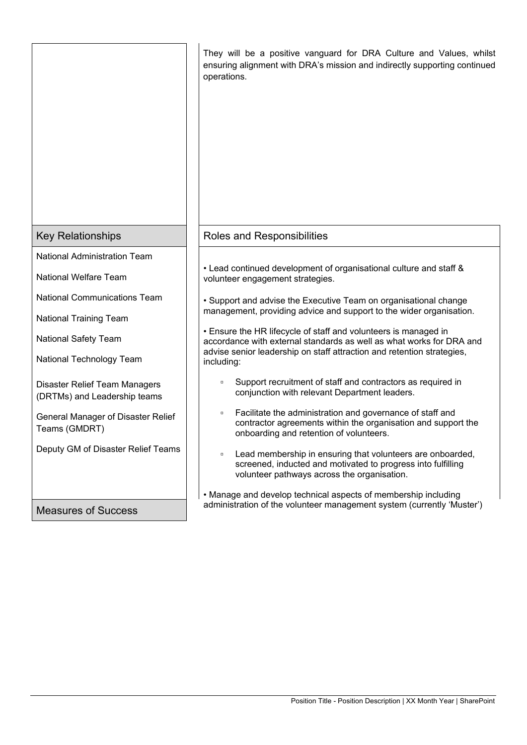|                                                               | They will be a positive vanguard for DRA Culture and Values, whilst<br>ensuring alignment with DRA's mission and indirectly supporting continued<br>operations.                 |
|---------------------------------------------------------------|---------------------------------------------------------------------------------------------------------------------------------------------------------------------------------|
| <b>Key Relationships</b>                                      | <b>Roles and Responsibilities</b>                                                                                                                                               |
| <b>National Administration Team</b>                           |                                                                                                                                                                                 |
| <b>National Welfare Team</b>                                  | • Lead continued development of organisational culture and staff &<br>volunteer engagement strategies.                                                                          |
| <b>National Communications Team</b>                           | • Support and advise the Executive Team on organisational change                                                                                                                |
| <b>National Training Team</b>                                 | management, providing advice and support to the wider organisation.                                                                                                             |
| <b>National Safety Team</b>                                   | • Ensure the HR lifecycle of staff and volunteers is managed in<br>accordance with external standards as well as what works for DRA and                                         |
| National Technology Team                                      | advise senior leadership on staff attraction and retention strategies,<br>including:                                                                                            |
| Disaster Relief Team Managers<br>(DRTMs) and Leadership teams | Support recruitment of staff and contractors as required in<br>$\Box$<br>conjunction with relevant Department leaders.                                                          |
| General Manager of Disaster Relief<br>Teams (GMDRT)           | Facilitate the administration and governance of staff and<br>$\Box$<br>contractor agreements within the organisation and support the<br>onboarding and retention of volunteers. |
| Deputy GM of Disaster Relief Teams                            | Lead membership in ensuring that volunteers are onboarded,<br>screened, inducted and motivated to progress into fulfilling<br>volunteer pathways across the organisation.       |
| <b>Measures of Success</b>                                    | • Manage and develop technical aspects of membership including<br>administration of the volunteer management system (currently 'Muster')                                        |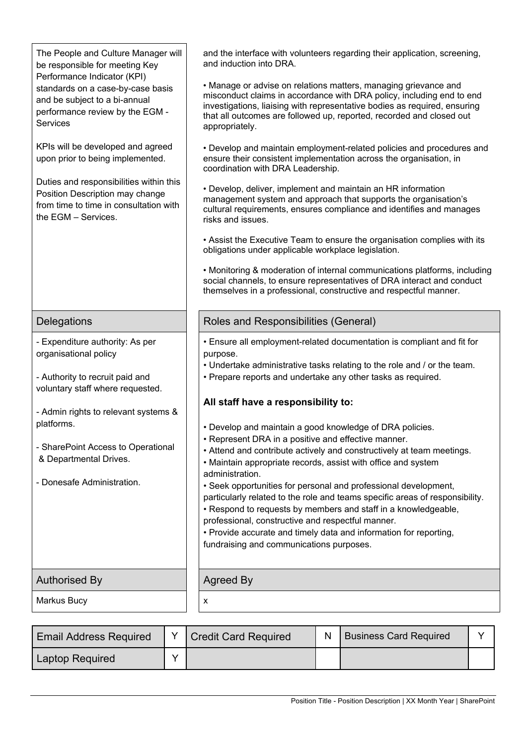| The People and Culture Manager will<br>be responsible for meeting Key<br>Performance Indicator (KPI)                                        | and the interface with volunteers regarding their application, screening,<br>and induction into DRA.                                                                                                                                                                                                                                                                                    |  |  |  |
|---------------------------------------------------------------------------------------------------------------------------------------------|-----------------------------------------------------------------------------------------------------------------------------------------------------------------------------------------------------------------------------------------------------------------------------------------------------------------------------------------------------------------------------------------|--|--|--|
| standards on a case-by-case basis<br>and be subject to a bi-annual<br>performance review by the EGM -<br><b>Services</b>                    | • Manage or advise on relations matters, managing grievance and<br>misconduct claims in accordance with DRA policy, including end to end<br>investigations, liaising with representative bodies as required, ensuring<br>that all outcomes are followed up, reported, recorded and closed out<br>appropriately.                                                                         |  |  |  |
| KPIs will be developed and agreed<br>upon prior to being implemented.                                                                       | • Develop and maintain employment-related policies and procedures and<br>ensure their consistent implementation across the organisation, in<br>coordination with DRA Leadership.                                                                                                                                                                                                        |  |  |  |
| Duties and responsibilities within this<br>Position Description may change<br>from time to time in consultation with<br>the EGM - Services. | • Develop, deliver, implement and maintain an HR information<br>management system and approach that supports the organisation's<br>cultural requirements, ensures compliance and identifies and manages<br>risks and issues.                                                                                                                                                            |  |  |  |
|                                                                                                                                             | • Assist the Executive Team to ensure the organisation complies with its<br>obligations under applicable workplace legislation.                                                                                                                                                                                                                                                         |  |  |  |
|                                                                                                                                             | • Monitoring & moderation of internal communications platforms, including<br>social channels, to ensure representatives of DRA interact and conduct<br>themselves in a professional, constructive and respectful manner.                                                                                                                                                                |  |  |  |
| Delegations                                                                                                                                 | Roles and Responsibilities (General)                                                                                                                                                                                                                                                                                                                                                    |  |  |  |
| - Expenditure authority: As per<br>organisational policy<br>- Authority to recruit paid and                                                 | • Ensure all employment-related documentation is compliant and fit for<br>purpose.<br>. Undertake administrative tasks relating to the role and / or the team.<br>• Prepare reports and undertake any other tasks as required.                                                                                                                                                          |  |  |  |
| voluntary staff where requested.                                                                                                            | All staff have a responsibility to:                                                                                                                                                                                                                                                                                                                                                     |  |  |  |
| - Admin rights to relevant systems &<br>platforms.                                                                                          | • Develop and maintain a good knowledge of DRA policies.                                                                                                                                                                                                                                                                                                                                |  |  |  |
| - SharePoint Access to Operational<br>& Departmental Drives.                                                                                | • Represent DRA in a positive and effective manner.<br>• Attend and contribute actively and constructively at team meetings.<br>• Maintain appropriate records, assist with office and system<br>administration.                                                                                                                                                                        |  |  |  |
| - Donesafe Administration.                                                                                                                  | • Seek opportunities for personal and professional development,<br>particularly related to the role and teams specific areas of responsibility.<br>• Respond to requests by members and staff in a knowledgeable,<br>professional, constructive and respectful manner.<br>• Provide accurate and timely data and information for reporting,<br>fundraising and communications purposes. |  |  |  |
| <b>Authorised By</b>                                                                                                                        | Agreed By                                                                                                                                                                                                                                                                                                                                                                               |  |  |  |
| Markus Bucy                                                                                                                                 | x                                                                                                                                                                                                                                                                                                                                                                                       |  |  |  |

| <b>Email Address Required</b> | <b>Credit Card Required</b> | <b>Business Card Required</b> |  |
|-------------------------------|-----------------------------|-------------------------------|--|
| <b>Laptop Required</b>        |                             |                               |  |